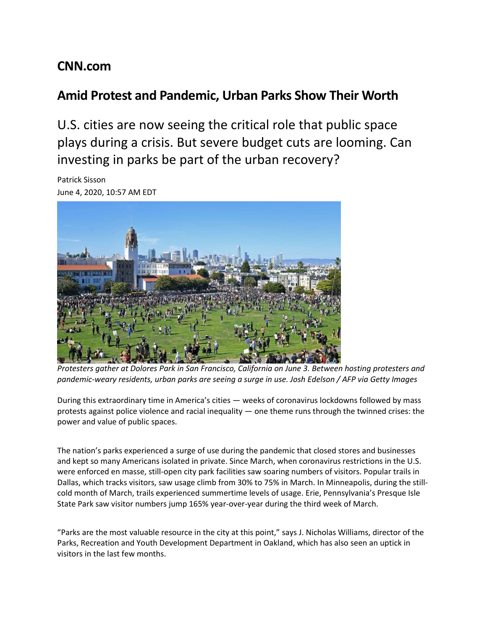## **CNN.com**

## **Amid Protest and Pandemic, Urban Parks Show Their Worth**

U.S. cities are now seeing the critical role that public space plays during a crisis. But severe budget cuts are looming. Can investing in parks be part of the urban recovery?

Patrick Sisson June 4, 2020, 10:57 AM EDT



*Protesters gather at Dolores Park in San Francisco, California on June 3. Between hosting protesters and pandemic-weary residents, urban parks are seeing a surge in use. Josh Edelson / AFP via Getty Images*

During this extraordinary time in America's cities — weeks of coronavirus lockdowns followed by mass protests against police violence and racial inequality — one theme runs through the twinned crises: the power and value of public spaces.

The nation's parks experienced a surge of use during the pandemic that closed stores and businesses and kept so many Americans isolated in private. Since March, when coronavirus restrictions in the U.S. were enforced en masse, still-open city park facilities saw soaring numbers of visitors. Popular trails in Dallas, which tracks visitors, saw usage climb from 30% to 75% in March. In Minneapolis, during the stillcold month of March, trails experienced [summertime](https://www.startribune.com/it-s-too-close-for-comfort-on-wildly-popular-minneapolis-park-paths/569032772/) levels of usage. Erie, Pennsylvania's Presque Isle State Park saw visitor numbers jump 165% year-over-year during the third week of March.

"Parks are the most valuable resource in the city at this point," says J. Nicholas Williams, director of the Parks, Recreation and Youth Development Department in Oakland, which has also seen an uptick in visitors in the last few months.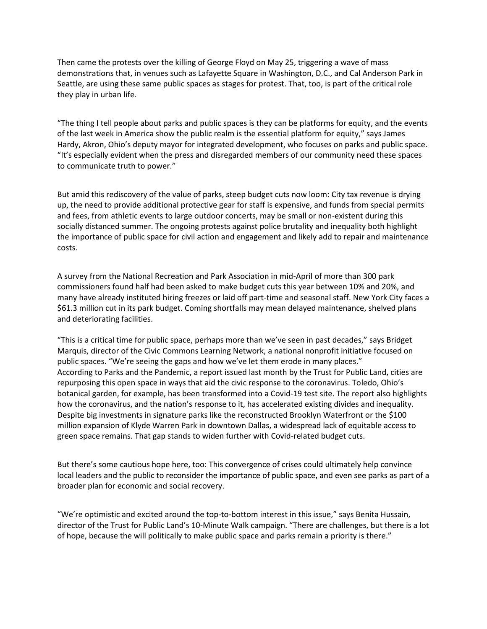Then came the protests over the killing of George Floyd on May 25, triggering a wave of mass demonstrations that, in venues such as Lafayette Square in Washington, D.C., and Cal Anderson Park in Seattle, are using these same public spaces as stages for protest. That, too, is part of the critical role they play in urban life.

"The thing I tell people about parks and public spaces is they can be platforms for equity, and the events of the last week in America show the public realm is the essential platform for equity," says James Hardy, Akron, Ohio's deputy mayor for integrated development, who focuses on parks and public space. "It's especially evident when the press and disregarded members of our community need these spaces to communicate truth to power."

But amid this rediscovery of the value of parks, steep budget cuts now loom: City tax revenue is drying up, the need to provide additional protective gear for staff is expensive, and funds from special permits and fees, from athletic events to large outdoor concerts, may be small or non-existent during this socially distanced summer. The ongoing protests against police brutality and inequality both highlight the importance of public space for civil action and engagement and likely add to repair and maintenance costs.

A survey from the National Recreation and Park Association in mid-April of more than 300 park commissioners found half had been asked to make budget cuts this year between 10% and 20%, and many have already instituted hiring freezes or laid off part-time and seasonal staff. New York City [faces](https://ny.curbed.com/2020/5/29/21266767/nyc-parks-coronavirus-funding-budget) a \$61.3 million cut in its park [budget.](https://ny.curbed.com/2020/5/29/21266767/nyc-parks-coronavirus-funding-budget) Coming shortfalls may mean delayed maintenance, shelved plans and deteriorating facilities.

"This is a critical time for public space, perhaps more than we've seen in past decades," says Bridget Marquis, director of the Civic [Commons](https://civiccommons.us/) Learning Network, a national nonprofit initiative focused on public spaces. "We're seeing the gaps and how we've let them erode in many places." According to Parks and the Pandemic, a report issued last [month](https://www.tpl.org/parks-and-the-pandemic) by the Trust for Public Land, cities are repurposing this open space in ways that aid the civic response to the coronavirus. Toledo, Ohio's botanical garden, for example, has been transformed into a Covid-19 test site. The report also highlights how the coronavirus, and the nation's response to it, has accelerated existing divides and inequality. Despite big investments in signature parks like the reconstructed Brooklyn Waterfront or the [\\$100](https://www.dallasnews.com/news/2019/10/15/downtown-dallas-deck-park-reveals-expansion-plans-20-million-donation-from-kelcy-warren/) million expansion of Klyde Warren Park in [downtown](https://www.dallasnews.com/news/2019/10/15/downtown-dallas-deck-park-reveals-expansion-plans-20-million-donation-from-kelcy-warren/) Dallas, a widespread lack of equitable access to green space remains. That gap stands to widen further with Covid-related budget cuts.

But there's some cautious hope here, too: This convergence of crises could ultimately help convince local leaders and the public to reconsider the importance of public space, and even see parks as part of a broader plan for economic and social recovery.

"We're optimistic and excited around the top-to-bottom interest in this issue," says Benita Hussain, director of the Trust for Public Land's [10-Minute](https://www.tpl.org/10minutewalk) Walk campaign. "There are challenges, but there is a lot of hope, because the will politically to make public space and parks remain a priority is there."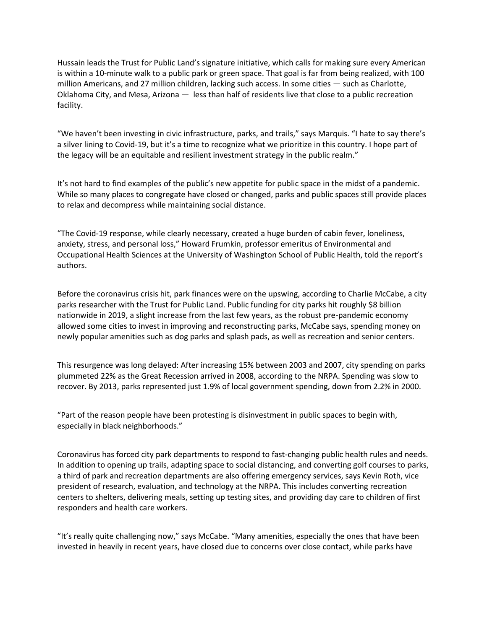Hussain leads the Trust for Public Land's signature initiative, which calls for making sure every American is within a 10-minute walk to a public park or green space. That goal is far from being realized, with 100 million Americans, and 27 million children, lacking such access. In some cities — such as Charlotte, Oklahoma City, and Mesa, Arizona — less than half of residents live that close to a public recreation facility.

"We haven't been investing in civic infrastructure, parks, and trails," says Marquis. "I hate to say there's a silver lining to Covid-19, but it's a time to recognize what we prioritize in this country. I hope part of the legacy will be an equitable and resilient investment strategy in the public realm."

It's not hard to find examples of the public's new appetite for public space in the midst of a pandemic. While so many places to congregate have closed or changed, parks and public spaces still provide places to relax and decompress while maintaining social distance.

"The Covid-19 response, while clearly necessary, created a huge burden of cabin fever, loneliness, anxiety, stress, and personal loss," Howard Frumkin, professor emeritus of Environmental and Occupational Health Sciences at the University of Washington School of Public Health, told the report's authors.

Before the coronavirus crisis hit, park finances were on the upswing, according to Charlie McCabe, a city parks researcher with the Trust for Public Land. Public funding for city parks hit roughly \$8 billion nationwide in 2019, a slight increase from the last few years, as the robust pre-pandemic economy allowed some cities to invest in improving and reconstructing parks, McCabe says, spending money on newly popular amenities such as dog parks and splash pads, as well as recreation and senior centers.

This resurgence was long delayed: After increasing 15% between 2003 and 2007, city spending on parks plummeted 22% as the Great Recession arrived in 2008, according to the NRPA. Spending was slow to recover. By 2013, parks represented just 1.9% of local government spending, down from 2.2% in 2000.

"Part of the reason people have been protesting is disinvestment in public spaces to begin with, especially in black neighborhoods."

Coronavirus has forced city park departments to respond to fast-changing public health rules and needs. In addition to opening up trails, adapting space to social distancing, and converting golf courses to parks, a third of park and recreation departments are also offering emergency services, says Kevin Roth, vice president of research, evaluation, and technology at the NRPA. This includes converting recreation centers to shelters, delivering meals, setting up testing sites, and providing day care to children of first responders and health care workers.

"It's really quite challenging now," says McCabe. "Many amenities, especially the ones that have been invested in heavily in recent years, have closed due to concerns over close contact, while parks have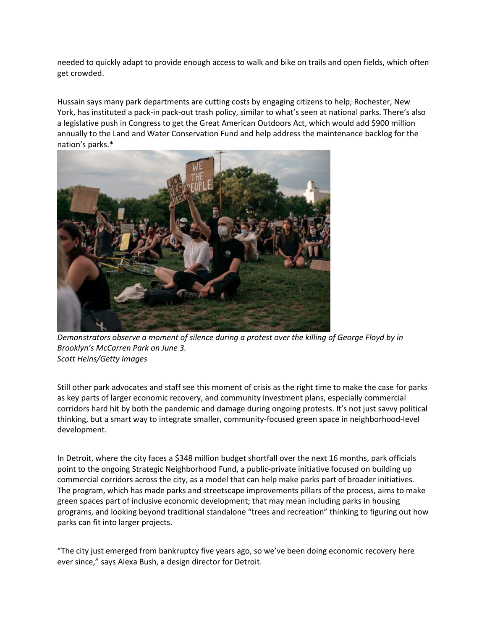needed to quickly adapt to provide enough access to walk and bike on trails and open fields, which often get crowded.

Hussain says many park departments are cutting costs by engaging citizens to help; Rochester, New York, has instituted a pack-in [pack-out](https://www.kaaltv.com/rochester-minnesota-news/rochester-mn-park-leaders-say-to-pack-in-pack-out/5700890/) trash policy, similar to what's seen at national parks. There's also a legislative push in Congress to get the Great [American](https://www.outdooralliance.org/blog/2020/4/14/whats-happening-with-the-great-american-outdoors-act) Outdoors Act, which would add \$900 million annually to the Land and Water Conservation Fund and help address the maintenance backlog for the nation's parks.\*



*Demonstrators observe a moment of silence during a protest over the killing of George Floyd by in Brooklyn's McCarren Park on June 3. Scott Heins/Getty Images*

Still other park advocates and staff see this moment of crisis as the right time to make the case for parks as key parts of larger economic recovery, and community investment plans, especially commercial corridors hard hit by both the pandemic and damage during ongoing protests. It's not just savvy political thinking, but a smart way to integrate smaller, community-focused green space in neighborhood-level development.

In Detroit, where the city faces a \$348 million budget [shortfall](https://www.michiganradio.org/post/detroits-facing-348-million-budget-gap-due-covid-19-mayor-it-going-hurt) over the next 16 months, park officials point to the ongoing Strategic [Neighborhood](https://theneighborhoods.org/story/130m-investments-coming-seven-detroit-neighborhoods) Fund, a public-private initiative focused on building up commercial corridors across the city, as a model that can help make parks part of broader initiatives. The program, which has made parks and streetscape improvements pillars of the process, aims to make green spaces part of inclusive economic development; that may mean including parks in housing programs, and looking beyond traditional standalone "trees and recreation" thinking to figuring out how parks can fit into larger projects.

"The city just emerged from bankruptcy five years ago, so we've been doing economic recovery here ever since," says Alexa Bush, a design director for Detroit.